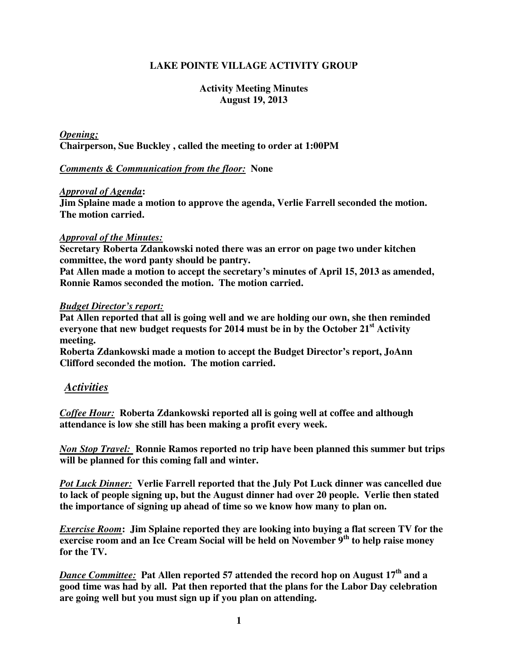# **LAKE POINTE VILLAGE ACTIVITY GROUP**

## **Activity Meeting Minutes August 19, 2013**

*Opening;* **Chairperson, Sue Buckley , called the meeting to order at 1:00PM** 

## *Comments & Communication from the floor:* **None**

## *Approval of Agenda***:**

**Jim Splaine made a motion to approve the agenda, Verlie Farrell seconded the motion. The motion carried.** 

### *Approval of the Minutes:*

**Secretary Roberta Zdankowski noted there was an error on page two under kitchen committee, the word panty should be pantry.** 

**Pat Allen made a motion to accept the secretary's minutes of April 15, 2013 as amended, Ronnie Ramos seconded the motion. The motion carried.** 

### *Budget Director's report:*

**Pat Allen reported that all is going well and we are holding our own, she then reminded everyone that new budget requests for 2014 must be in by the October 21st Activity meeting.** 

**Roberta Zdankowski made a motion to accept the Budget Director's report, JoAnn Clifford seconded the motion. The motion carried.** 

# *Activities*

*Coffee Hour:* **Roberta Zdankowski reported all is going well at coffee and although attendance is low she still has been making a profit every week.** 

*Non Stop Travel:* **Ronnie Ramos reported no trip have been planned this summer but trips will be planned for this coming fall and winter.** 

*Pot Luck Dinner:* **Verlie Farrell reported that the July Pot Luck dinner was cancelled due to lack of people signing up, but the August dinner had over 20 people. Verlie then stated the importance of signing up ahead of time so we know how many to plan on.** 

*Exercise Room***: Jim Splaine reported they are looking into buying a flat screen TV for the exercise room and an Ice Cream Social will be held on November 9th to help raise money for the TV.** 

*Dance Committee:* **Pat Allen reported 57 attended the record hop on August 17th and a good time was had by all. Pat then reported that the plans for the Labor Day celebration are going well but you must sign up if you plan on attending.**